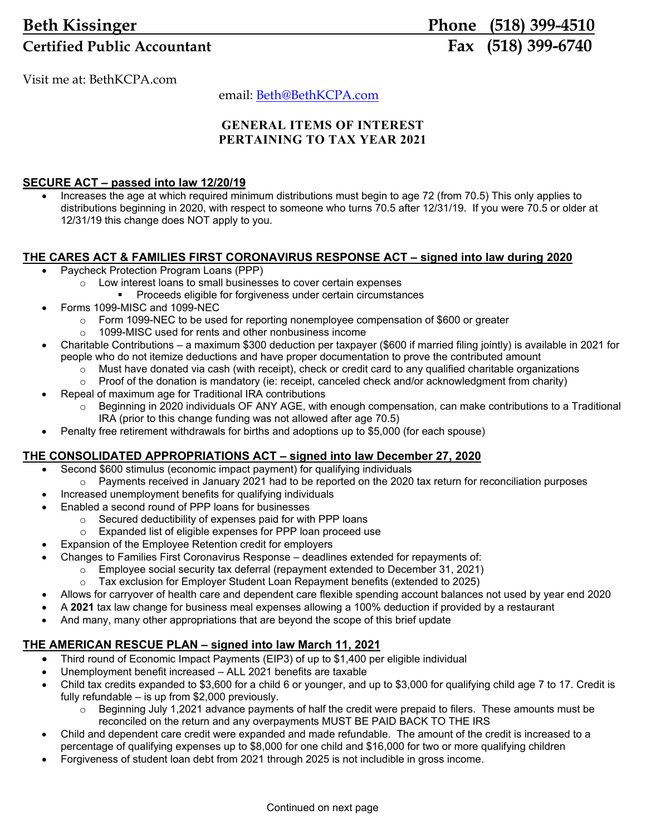# **Beth Kissinger Phone (518) 399-4510** Certified Public Accountant **Fax** (518) 399-6740

Visit me at: BethKCPA.com

email: Beth@BethKCPA.com

## **GENERAL ITEMS OF INTEREST PERTAINING TO TAX YEAR 2021**

### **SECURE ACT – passed into law 12/20/19**

 Increases the age at which required minimum distributions must begin to age 72 (from 70.5) This only applies to distributions beginning in 2020, with respect to someone who turns 70.5 after 12/31/19. If you were 70.5 or older at 12/31/19 this change does NOT apply to you.

## **THE CARES ACT & FAMILIES FIRST CORONAVIRUS RESPONSE ACT – signed into law during 2020**

- Paycheck Protection Program Loans (PPP)
	- o Low interest loans to small businesses to cover certain expenses
		- **Proceeds eligible for forgiveness under certain circumstances**
- Forms 1099-MISC and 1099-NEC
	- $\circ$  Form 1099-NEC to be used for reporting nonemployee compensation of \$600 or greater
	- o 1099-MISC used for rents and other nonbusiness income
- Charitable Contributions a maximum \$300 deduction per taxpayer (\$600 if married filing jointly) is available in 2021 for people who do not itemize deductions and have proper documentation to prove the contributed amount
	- $\circ$  Must have donated via cash (with receipt), check or credit card to any qualified charitable organizations
	- $\circ$  Proof of the donation is mandatory (ie: receipt, canceled check and/or acknowledgment from charity)
	- Repeal of maximum age for Traditional IRA contributions
		- $\circ$  Beginning in 2020 individuals OF ANY AGE, with enough compensation, can make contributions to a Traditional IRA (prior to this change funding was not allowed after age 70.5)
- Penalty free retirement withdrawals for births and adoptions up to \$5,000 (for each spouse)

## **THE CONSOLIDATED APPROPRIATIONS ACT – signed into law December 27, 2020**

- Second \$600 stimulus (economic impact payment) for qualifying individuals
- $\circ$  Payments received in January 2021 had to be reported on the 2020 tax return for reconciliation purposes
- Increased unemployment benefits for qualifying individuals
- Enabled a second round of PPP loans for businesses
	- o Secured deductibility of expenses paid for with PPP loans
	- o Expanded list of eligible expenses for PPP loan proceed use
- Expansion of the Employee Retention credit for employers
- Changes to Families First Coronavirus Response deadlines extended for repayments of:
	- o Employee social security tax deferral (repayment extended to December 31, 2021)
	- $\circ$  Tax exclusion for Employer Student Loan Repayment benefits (extended to 2025)
- Allows for carryover of health care and dependent care flexible spending account balances not used by year end 2020
- A **2021** tax law change for business meal expenses allowing a 100% deduction if provided by a restaurant
- And many, many other appropriations that are beyond the scope of this brief update

## **THE AMERICAN RESCUE PLAN – signed into law March 11, 2021**

- Third round of Economic Impact Payments (EIP3) of up to \$1,400 per eligible individual
- Unemployment benefit increased ALL 2021 benefits are taxable
- Child tax credits expanded to \$3,600 for a child 6 or younger, and up to \$3,000 for qualifying child age 7 to 17. Credit is fully refundable – is up from \$2,000 previously.
	- $\circ$  Beginning July 1,2021 advance payments of half the credit were prepaid to filers. These amounts must be reconciled on the return and any overpayments MUST BE PAID BACK TO THE IRS
- Child and dependent care credit were expanded and made refundable. The amount of the credit is increased to a percentage of qualifying expenses up to \$8,000 for one child and \$16,000 for two or more qualifying children
- Forgiveness of student loan debt from 2021 through 2025 is not includible in gross income.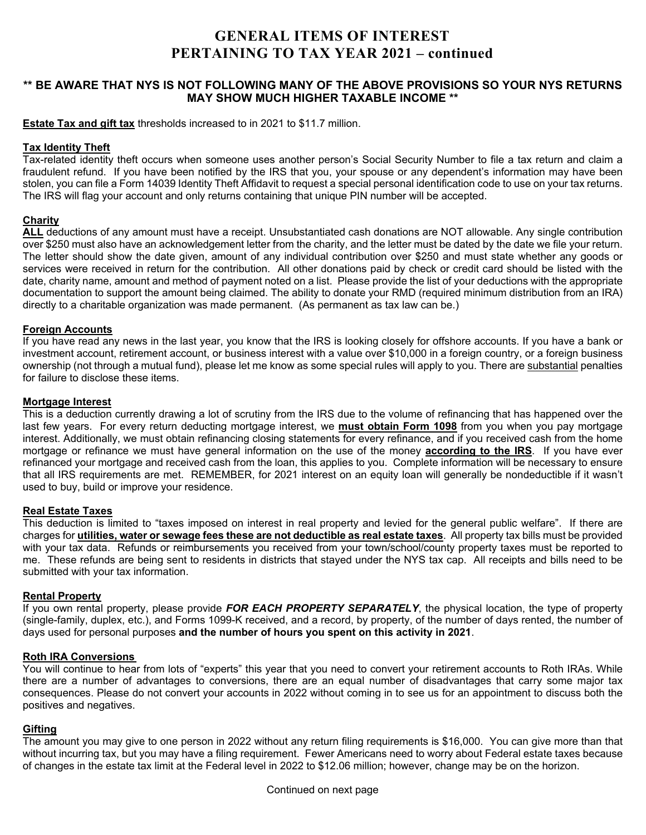## **GENERAL ITEMS OF INTEREST PERTAINING TO TAX YEAR 2021 – continued**

### **\*\* BE AWARE THAT NYS IS NOT FOLLOWING MANY OF THE ABOVE PROVISIONS SO YOUR NYS RETURNS MAY SHOW MUCH HIGHER TAXABLE INCOME \*\***

**Estate Tax and gift tax** thresholds increased to in 2021 to \$11.7 million.

#### **Tax Identity Theft**

Tax-related identity theft occurs when someone uses another person's Social Security Number to file a tax return and claim a fraudulent refund. If you have been notified by the IRS that you, your spouse or any dependent's information may have been stolen, you can file a Form 14039 Identity Theft Affidavit to request a special personal identification code to use on your tax returns. The IRS will flag your account and only returns containing that unique PIN number will be accepted.

#### **Charity**

**ALL** deductions of any amount must have a receipt. Unsubstantiated cash donations are NOT allowable. Any single contribution over \$250 must also have an acknowledgement letter from the charity, and the letter must be dated by the date we file your return. The letter should show the date given, amount of any individual contribution over \$250 and must state whether any goods or services were received in return for the contribution. All other donations paid by check or credit card should be listed with the date, charity name, amount and method of payment noted on a list. Please provide the list of your deductions with the appropriate documentation to support the amount being claimed. The ability to donate your RMD (required minimum distribution from an IRA) directly to a charitable organization was made permanent. (As permanent as tax law can be.)

#### **Foreign Accounts**

If you have read any news in the last year, you know that the IRS is looking closely for offshore accounts. If you have a bank or investment account, retirement account, or business interest with a value over \$10,000 in a foreign country, or a foreign business ownership (not through a mutual fund), please let me know as some special rules will apply to you. There are substantial penalties for failure to disclose these items.

#### **Mortgage Interest**

This is a deduction currently drawing a lot of scrutiny from the IRS due to the volume of refinancing that has happened over the last few years. For every return deducting mortgage interest, we **must obtain Form 1098** from you when you pay mortgage interest. Additionally, we must obtain refinancing closing statements for every refinance, and if you received cash from the home mortgage or refinance we must have general information on the use of the money **according to the IRS**. If you have ever refinanced your mortgage and received cash from the loan, this applies to you. Complete information will be necessary to ensure that all IRS requirements are met. REMEMBER, for 2021 interest on an equity loan will generally be nondeductible if it wasn't used to buy, build or improve your residence.

#### **Real Estate Taxes**

This deduction is limited to "taxes imposed on interest in real property and levied for the general public welfare". If there are charges for **utilities, water or sewage fees these are not deductible as real estate taxes**. All property tax bills must be provided with your tax data. Refunds or reimbursements you received from your town/school/county property taxes must be reported to me. These refunds are being sent to residents in districts that stayed under the NYS tax cap. All receipts and bills need to be submitted with your tax information.

#### **Rental Property**

If you own rental property, please provide *FOR EACH PROPERTY SEPARATELY*, the physical location, the type of property (single-family, duplex, etc.), and Forms 1099-K received, and a record, by property, of the number of days rented, the number of days used for personal purposes **and the number of hours you spent on this activity in 2021**.

#### **Roth IRA Conversions**

You will continue to hear from lots of "experts" this year that you need to convert your retirement accounts to Roth IRAs. While there are a number of advantages to conversions, there are an equal number of disadvantages that carry some major tax consequences. Please do not convert your accounts in 2022 without coming in to see us for an appointment to discuss both the positives and negatives.

#### **Gifting**

The amount you may give to one person in 2022 without any return filing requirements is \$16,000. You can give more than that without incurring tax, but you may have a filing requirement. Fewer Americans need to worry about Federal estate taxes because of changes in the estate tax limit at the Federal level in 2022 to \$12.06 million; however, change may be on the horizon.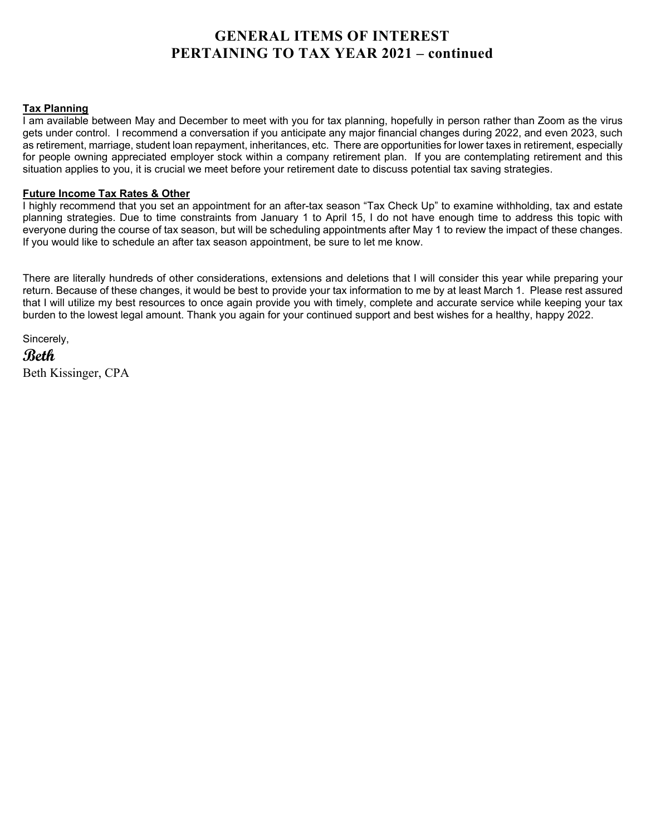## **GENERAL ITEMS OF INTEREST PERTAINING TO TAX YEAR 2021 – continued**

#### **Tax Planning**

I am available between May and December to meet with you for tax planning, hopefully in person rather than Zoom as the virus gets under control. I recommend a conversation if you anticipate any major financial changes during 2022, and even 2023, such as retirement, marriage, student loan repayment, inheritances, etc. There are opportunities for lower taxes in retirement, especially for people owning appreciated employer stock within a company retirement plan. If you are contemplating retirement and this situation applies to you, it is crucial we meet before your retirement date to discuss potential tax saving strategies.

#### **Future Income Tax Rates & Other**

I highly recommend that you set an appointment for an after-tax season "Tax Check Up" to examine withholding, tax and estate planning strategies. Due to time constraints from January 1 to April 15, I do not have enough time to address this topic with everyone during the course of tax season, but will be scheduling appointments after May 1 to review the impact of these changes. If you would like to schedule an after tax season appointment, be sure to let me know.

There are literally hundreds of other considerations, extensions and deletions that I will consider this year while preparing your return. Because of these changes, it would be best to provide your tax information to me by at least March 1. Please rest assured that I will utilize my best resources to once again provide you with timely, complete and accurate service while keeping your tax burden to the lowest legal amount. Thank you again for your continued support and best wishes for a healthy, happy 2022.

Sincerely,

**Beth**  Beth Kissinger, CPA